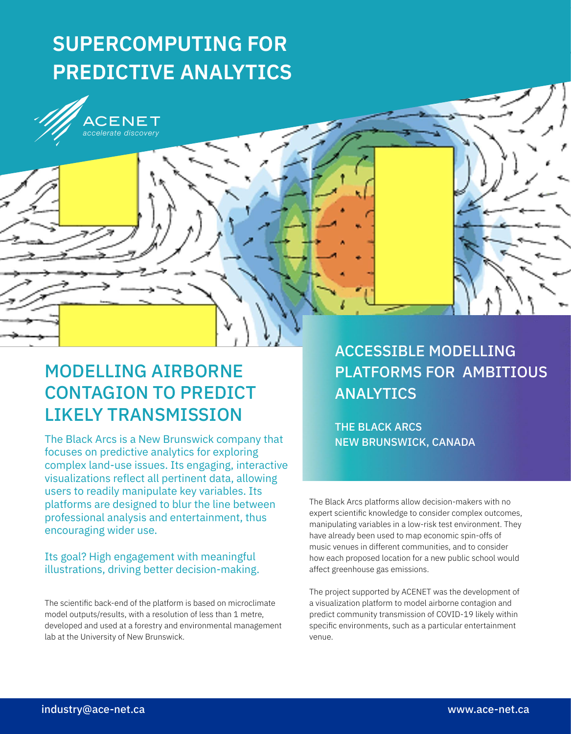# **SUPERCOMPUTING FOR PREDICTIVE ANALYTICS**

CENET accelerate discoverv



The Black Arcs is a New Brunswick company that focuses on predictive analytics for exploring complex land-use issues. Its engaging, interactive visualizations reflect all pertinent data, allowing users to readily manipulate key variables. Its platforms are designed to blur the line between professional analysis and entertainment, thus encouraging wider use.

# Its goal? High engagement with meaningful illustrations, driving better decision-making.

The scientific back-end of the platform is based on microclimate model outputs/results, with a resolution of less than 1 metre, developed and used at a forestry and environmental management lab at the University of New Brunswick.

ACCESSIBLE MODELLING PLATFORMS FOR AMBITIOUS ANALYTICS

THE BLACK ARCS NEW BRUNSWICK, CANADA

The Black Arcs platforms allow decision-makers with no expert scientific knowledge to consider complex outcomes, manipulating variables in a low-risk test environment. They have already been used to map economic spin-offs of music venues in different communities, and to consider how each proposed location for a new public school would affect greenhouse gas emissions.

The project supported by ACENET was the development of a visualization platform to model airborne contagion and predict community transmission of COVID-19 likely within specific environments, such as a particular entertainment venue.